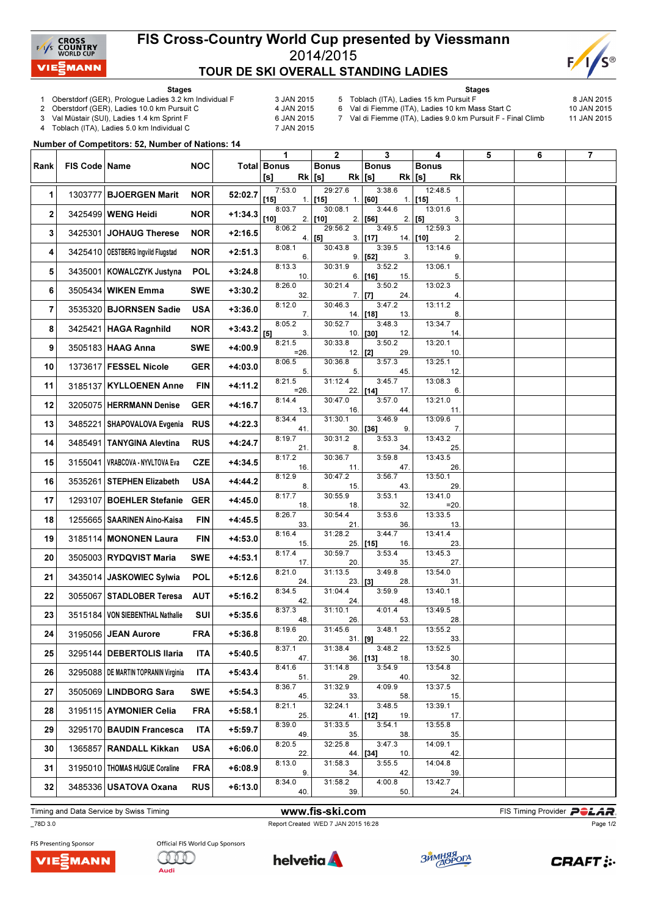

## FIS Cross-Country World Cup presented by Viessmann 2014/2015 TOUR DE SKI OVERALL STANDING LADIES



Stages

- 1 Oberstdorf (GER), Prologue Ladies 3.2 km Individual F 3 JAN 2015<br>2 Oberstdorf (GER), Ladies 10.0 km Pursuit C 4 JAN 2015
- 2 Oberstdorf (GER), Ladies 10.0 km Pursuit C

3 Val Müstair (SUI), Ladies 1.4 km Sprint F<br>4 Toblach (ITA), Ladies 5.0 km Individual C 6 7 JAN 2015 Toblach (ITA), Ladies 5.0 km Individual C

Stages 5 Toblach (ITA), Ladies 15 km Pursuit F 8 JAN 2015

6 Val di Fiemme (ITA), Ladies 10 km Mass Start C 10 JAN 2015 7 Val di Fiemme (ITA), Ladies 9.0 km Pursuit F - Final Climb 11 JAN 2015

Number of Competitors: 52, Number of Nations: 14

|      |                 |                                       |            |           | 1                              | $\mathbf{2}$             | 3                                | 4                                      | 5 | 6 | 7 |
|------|-----------------|---------------------------------------|------------|-----------|--------------------------------|--------------------------|----------------------------------|----------------------------------------|---|---|---|
| Rank | FIS Code   Name |                                       | <b>NOC</b> |           | Total Bonus<br>$Rk$ [s]<br>[s] | <b>Bonus</b><br>$Rk$ [s] | <b>Bonus</b>                     | <b>Bonus</b><br><b>Rk</b><br>$Rk$ [s]  |   |   |   |
| 1    | 1303777         | <b>BJOERGEN Marit</b>                 | <b>NOR</b> | 52:02.7   | 7:53.0<br>$[15]$               | 29:27.6<br>$1.$ [15]     | 3:38.6<br>$1.$ [60]              | 12:48.5<br>$1.$ [15]<br>$\mathbf{1}$ . |   |   |   |
| 2    |                 | 3425499 WENG Heidi                    | <b>NOR</b> | $+1:34.3$ | 8:03.7<br>[10]                 | 30:08.1<br>$2.$ [10]     | 3:44.6<br>$2.$ [56]              | 13:01.6<br>3.<br>$2.$ [5]              |   |   |   |
| 3    |                 | 3425301 JOHAUG Therese                | <b>NOR</b> | $+2:16.5$ | 8:06.2                         | 29:56.2<br>4.   [5]      | 3:49.5<br>$3.$ [17]              | 12:59.3<br>14. [10]<br>2.              |   |   |   |
| 4    |                 | 3425410   OESTBERG Ingvild Flugstad   | <b>NOR</b> | $+2:51.3$ | 8:08.1<br>6.                   | 30:43.8                  | 3:39.5<br>$9.$ [52]<br>3.        | 13:14.6<br>9.                          |   |   |   |
| 5    |                 | 3435001 KOWALCZYK Justyna             | <b>POL</b> | $+3:24.8$ | 8:13.3<br>10.                  | 30:31.9<br>6.            | 3:52.2<br>$[16]$<br>15.          | 13:06.1<br>5.                          |   |   |   |
| 6    |                 | 3505434 WIKEN Emma                    | <b>SWE</b> | $+3:30.2$ | 8:26.0<br>32.                  | 30:21.4                  | 3:50.2<br>$7.$ [7]<br>24.        | 13:02.3<br>4.                          |   |   |   |
| 7    |                 | 3535320 BJORNSEN Sadie                | <b>USA</b> | $+3:36.0$ | 8:12.0<br>7.                   | 30:46.3                  | 3:47.2<br>14. [18]<br>13.        | 13:11.2<br>8.                          |   |   |   |
| 8    |                 | 3425421 HAGA Ragnhild                 | <b>NOR</b> | $+3:43.2$ | 8:05.2<br>$[5]$<br>3.          | 30:52.7                  | 3:48.3<br>10. <b>[30]</b><br>12. | 13:34.7<br>14.                         |   |   |   |
| 9    |                 | 3505183 HAAG Anna                     | <b>SWE</b> | +4:00.9   | 8:21.5<br>$=26.$               | 30:33.8<br>$12.$ [2]     | 3:50.2<br>29.                    | 13:20.1<br>10.                         |   |   |   |
| 10   |                 | 1373617 FESSEL Nicole                 | <b>GER</b> | +4:03.0   | 8:06.5<br>5.                   | 30:36.8<br>5.            | 3:57.3<br>45.                    | 13:25.1<br>12.                         |   |   |   |
| 11   |                 | 3185137 KYLLOENEN Anne                | FIN        | $+4:11.2$ | 8:21.5<br>$=26$ .              | 31:12.4                  | 3:45.7<br>22. [14]<br>17.        | 13:08.3<br>6.                          |   |   |   |
| 12   |                 | 3205075 HERRMANN Denise               | <b>GER</b> | $+4:16.7$ | 8:14.4<br>13.                  | 30:47.0<br>16.           | 3:57.0<br>44.                    | 13:21.0<br>11.                         |   |   |   |
| 13   |                 | 3485221 SHAPOVALOVA Evgenia           | <b>RUS</b> | $+4:22.3$ | 8:34.4<br>41.                  | 31:30.1                  | 3:46.9<br>$30.$ [36]<br>9.       | 13:09.6<br>7.                          |   |   |   |
| 14   |                 | 3485491 TANYGINA Alevtina             | <b>RUS</b> | $+4:24.7$ | 8:19.7<br>21.                  | 30:31.2<br>8.            | 3:53.3<br>34.                    | 13:43.2<br>25.                         |   |   |   |
| 15   |                 | 3155041   VRABCOVA - NYVLTOVA Eva     | <b>CZE</b> | $+4:34.5$ | 8:17.2<br>16.                  | 30:36.7<br>11.           | 3:59.8<br>47.                    | 13:43.5<br>26.                         |   |   |   |
| 16   |                 | 3535261 STEPHEN Elizabeth             | <b>USA</b> | $+4:44.2$ | 8:12.9<br>8.                   | 30:47.2<br>15.           | 3:56.7<br>43.                    | 13:50.1<br>29.                         |   |   |   |
| 17   |                 | 1293107 BOEHLER Stefanie              | <b>GER</b> | $+4:45.0$ | 8:17.7<br>18.                  | 30:55.9<br>18.           | 3:53.1<br>32.                    | 13:41.0<br>$=20.$                      |   |   |   |
| 18   |                 | 1255665 SAARINEN Aino-Kaisa           | <b>FIN</b> | $+4:45.5$ | 8:26.7<br>33.                  | 30:54.4<br>21.           | 3:53.6<br>36.                    | 13:33.5<br>13.                         |   |   |   |
| 19   |                 | 3185114 MONONEN Laura                 | <b>FIN</b> | $+4:53.0$ | 8:16.4<br>15.                  | 31:28.2                  | 3:44.7<br>25. [15]<br>16.        | 13:41.4<br>23.                         |   |   |   |
| 20   |                 | 3505003 RYDQVIST Maria                | <b>SWE</b> | $+4:53.1$ | 8:17.4<br>17.                  | 30:59.7<br>20.           | 3:53.4<br>35.                    | 13:45.3<br>27.                         |   |   |   |
| 21   |                 | 3435014 JASKOWIEC Sylwia              | <b>POL</b> | $+5:12.6$ | 8:21.0<br>24.                  | 31:13.5<br>23. [3]       | 3:49.8<br>28.                    | 13:54.0<br>31.                         |   |   |   |
| 22   |                 | 3055067 STADLOBER Teresa              | <b>AUT</b> | $+5:16.2$ | 8:34.5<br>42.                  | 31:04.4<br>24.           | 3:59.9<br>48.                    | 13:40.1<br>18.                         |   |   |   |
| 23   |                 | 3515184   VON SIEBENTHAL Nathalie     | SUI        | $+5:35.6$ | 8:37.3<br>48.                  | 31:10.1<br>26.           | 4:01.4<br>53.                    | 13:49.5<br>28.                         |   |   |   |
| 24   |                 | 3195056 JEAN Aurore                   | <b>FRA</b> | $+5:36.8$ | 8:19.6<br>20.                  | 31:45.6<br>$31.$ [9]     | 3:48.1<br>22.                    | 13:55.2<br>33.                         |   |   |   |
| 25   |                 | 3295144   DEBERTOLIS Ilaria           | ITA.       | $+5:40.5$ | 8:37.1<br>47.                  | 31:38.4                  | 3:48.2<br>$36.$ [13]<br>18.      | 13:52.5<br>30.                         |   |   |   |
| 26   |                 | 3295088   DE MARTIN TOPRANIN Virginia | <b>ITA</b> | $+5:43.4$ | 8:41.6<br>51.                  | 31:14.8<br>29.           | 3:54.9<br>40.                    | 13:54.8<br>32.                         |   |   |   |
| 27   |                 | 3505069 LINDBORG Sara                 | <b>SWE</b> | $+5:54.3$ | 8:36.7<br>45.                  | 31:32.9<br>33.           | 4:09.9<br>58.                    | 13:37.5<br>15.                         |   |   |   |
| 28   |                 | 3195115 AYMONIER Celia                | <b>FRA</b> | +5:58.1   | 8:21.1<br>25.                  | 32:24.1                  | 3:48.5<br>$41.$ [12]<br>19.      | 13:39.1<br>17.                         |   |   |   |
| 29   |                 | 3295170 BAUDIN Francesca              | <b>ITA</b> | +5:59.7   | 8:39.0<br>49.                  | 31:33.5<br>35.           | 3:54.1<br>38.                    | 13:55.8<br>35.                         |   |   |   |
| 30   |                 | 1365857 RANDALL Kikkan                | <b>USA</b> | $+6:06.0$ | 8:20.5<br>22.                  | 32:25.8                  | 3:47.3<br>44. [34]<br>10.        | 14:09.1<br>42.                         |   |   |   |
| 31   |                 | 3195010   THOMAS HUGUE Coraline       | <b>FRA</b> | $+6:08.9$ | 8:13.0<br>9.                   | 31:58.3<br>34.           | 3:55.5<br>42.                    | 14:04.8<br>39.                         |   |   |   |
| 32   |                 | 3485336 USATOVA Oxana                 | <b>RUS</b> | $+6:13.0$ | 8:34.0<br>40.                  | 31:58.2<br>39.           | 4:00.8<br>50.                    | 13:42.7<br>24.                         |   |   |   |

Timing and Data Service by Swiss Timing **Example 20 and Service of Service Constant Constant Provider PCLAR** 

\_78D 3.0 Report Created WED 7 JAN 2015 16:28

Page 1/2